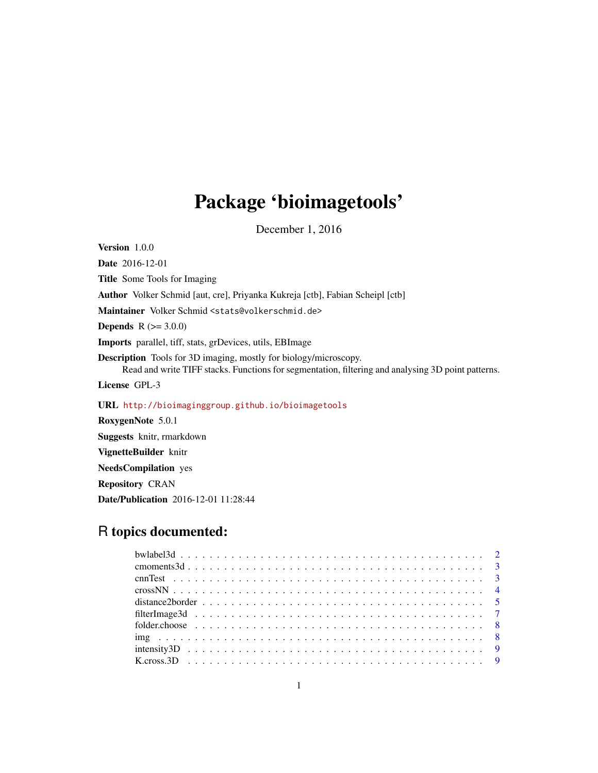# Package 'bioimagetools'

December 1, 2016

Version 1.0.0 Date 2016-12-01 Title Some Tools for Imaging Author Volker Schmid [aut, cre], Priyanka Kukreja [ctb], Fabian Scheipl [ctb] Maintainer Volker Schmid <stats@volkerschmid.de> **Depends**  $R (= 3.0.0)$ Imports parallel, tiff, stats, grDevices, utils, EBImage Description Tools for 3D imaging, mostly for biology/microscopy. Read and write TIFF stacks. Functions for segmentation, filtering and analysing 3D point patterns. License GPL-3 URL <http://bioimaginggroup.github.io/bioimagetools> RoxygenNote 5.0.1 Suggests knitr, rmarkdown VignetteBuilder knitr

NeedsCompilation yes

Repository CRAN

Date/Publication 2016-12-01 11:28:44

# R topics documented: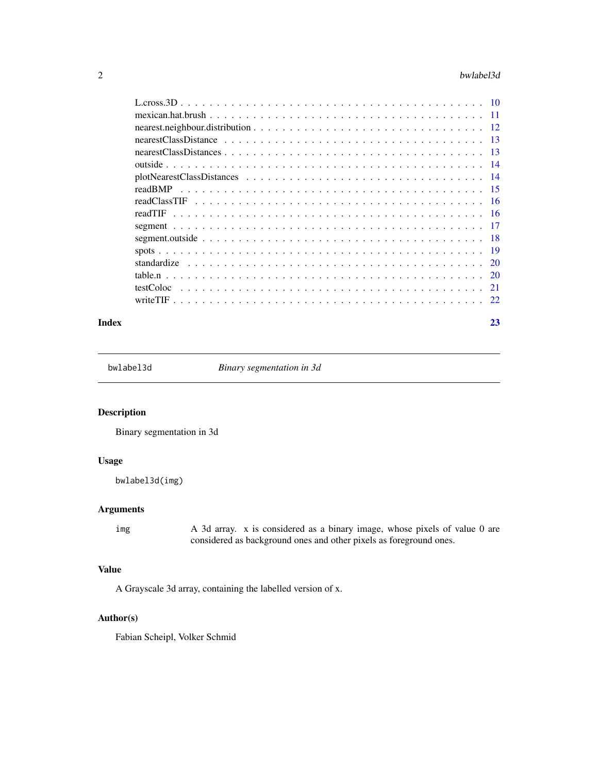#### $2 \times 2$

#### **Index** [23](#page-22-0)

bwlabel3d *Binary segmentation in 3d*

#### Description

Binary segmentation in 3d

# Usage

bwlabel3d(img)

# Arguments

img A 3d array. x is considered as a binary image, whose pixels of value 0 are considered as background ones and other pixels as foreground ones.

#### Value

A Grayscale 3d array, containing the labelled version of x.

# Author(s)

Fabian Scheipl, Volker Schmid

<span id="page-1-0"></span>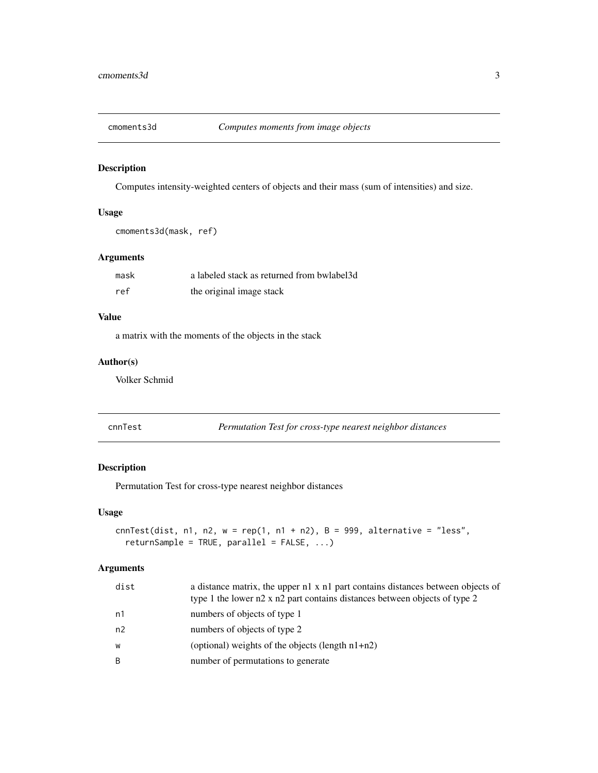<span id="page-2-0"></span>

Computes intensity-weighted centers of objects and their mass (sum of intensities) and size.

#### Usage

```
cmoments3d(mask, ref)
```
#### Arguments

| mask | a labeled stack as returned from bwlabel3d |
|------|--------------------------------------------|
| ref  | the original image stack                   |

# Value

a matrix with the moments of the objects in the stack

#### Author(s)

Volker Schmid

| cnnTest |
|---------|
|         |
|         |

Permutation Test for cross-type nearest neighbor distances

#### Description

Permutation Test for cross-type nearest neighbor distances

#### Usage

```
cnnTest(dist, n1, n2, w = rep(1, n1 + n2), B = 999, alternative = "less",
  returnSample = TRUE, parallel = FALSE, ...)
```

| dist | a distance matrix, the upper n1 x n1 part contains distances between objects of<br>type 1 the lower n2 x n2 part contains distances between objects of type 2 |
|------|---------------------------------------------------------------------------------------------------------------------------------------------------------------|
| n1   | numbers of objects of type 1                                                                                                                                  |
| n2   | numbers of objects of type 2                                                                                                                                  |
| W    | (optional) weights of the objects (length $n1+n2$ )                                                                                                           |
| B    | number of permutations to generate                                                                                                                            |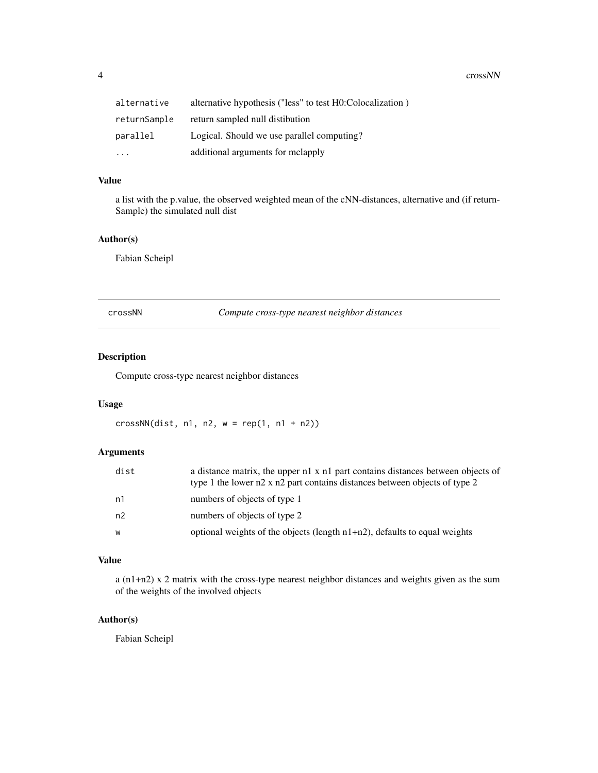<span id="page-3-0"></span>4 crossNN

| alternative  | alternative hypothesis ("less" to test H0:Colocalization) |
|--------------|-----------------------------------------------------------|
| returnSample | return sampled null distibution                           |
| parallel     | Logical. Should we use parallel computing?                |
| $\ddotsc$    | additional arguments for melapply                         |

#### Value

a list with the p.value, the observed weighted mean of the cNN-distances, alternative and (if return-Sample) the simulated null dist

#### Author(s)

Fabian Scheipl

crossNN *Compute cross-type nearest neighbor distances*

# Description

Compute cross-type nearest neighbor distances

#### Usage

 $crossNN(dist, n1, n2, w = rep(1, n1 + n2))$ 

#### Arguments

| dist | a distance matrix, the upper n1 x n1 part contains distances between objects of<br>type 1 the lower n2 x n2 part contains distances between objects of type 2 |
|------|---------------------------------------------------------------------------------------------------------------------------------------------------------------|
| n1   | numbers of objects of type 1                                                                                                                                  |
| n2   | numbers of objects of type 2                                                                                                                                  |
| W    | optional weights of the objects (length $n1+n2$ ), defaults to equal weights                                                                                  |

#### Value

a (n1+n2) x 2 matrix with the cross-type nearest neighbor distances and weights given as the sum of the weights of the involved objects

#### Author(s)

Fabian Scheipl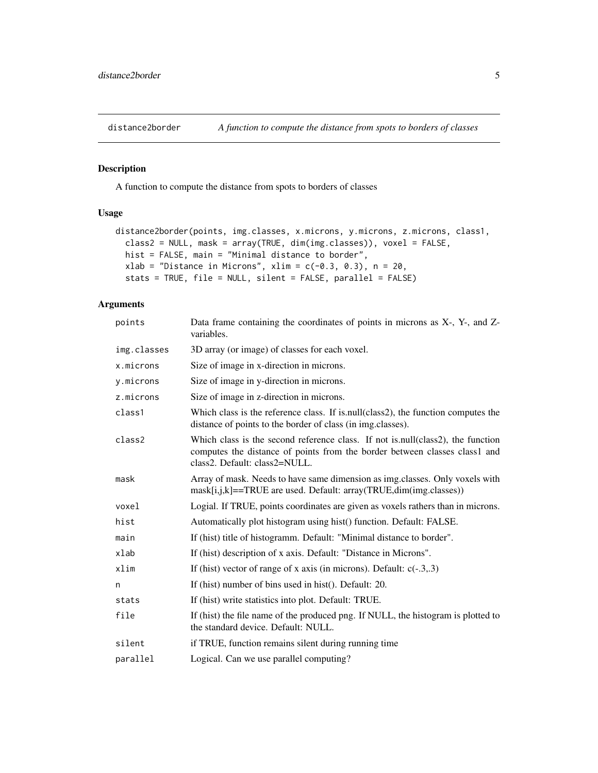<span id="page-4-0"></span>

A function to compute the distance from spots to borders of classes

# Usage

```
distance2border(points, img.classes, x.microns, y.microns, z.microns, class1,
 class2 = NULL, mask = array(TRUE, dim(img.classes)), voxel = FALSE,
 hist = FALSE, main = "Minimal distance to border",
 xlab = "Distance in Microns", xlim = c(-0.3, 0.3), n = 20,
  stats = TRUE, file = NULL, silent = FALSE, parallel = FALSE)
```

| points      | Data frame containing the coordinates of points in microns as X-, Y-, and Z-<br>variables.                                                                                                      |
|-------------|-------------------------------------------------------------------------------------------------------------------------------------------------------------------------------------------------|
| img.classes | 3D array (or image) of classes for each voxel.                                                                                                                                                  |
| x.microns   | Size of image in x-direction in microns.                                                                                                                                                        |
| y.microns   | Size of image in y-direction in microns.                                                                                                                                                        |
| z.microns   | Size of image in z-direction in microns.                                                                                                                                                        |
| class1      | Which class is the reference class. If is null(class2), the function computes the<br>distance of points to the border of class (in img.classes).                                                |
| class2      | Which class is the second reference class. If not is null (class2), the function<br>computes the distance of points from the border between classes class1 and<br>class2. Default: class2=NULL. |
| mask        | Array of mask. Needs to have same dimension as img. classes. Only voxels with<br>mask[i,j,k]==TRUE are used. Default: array(TRUE,dim(img.classes))                                              |
| voxel       | Logial. If TRUE, points coordinates are given as voxels rathers than in microns.                                                                                                                |
| hist        | Automatically plot histogram using hist() function. Default: FALSE.                                                                                                                             |
| main        | If (hist) title of histogramm. Default: "Minimal distance to border".                                                                                                                           |
| xlab        | If (hist) description of x axis. Default: "Distance in Microns".                                                                                                                                |
| xlim        | If (hist) vector of range of x axis (in microns). Default: $c(-3,3)$                                                                                                                            |
| n           | If (hist) number of bins used in hist(). Default: 20.                                                                                                                                           |
| stats       | If (hist) write statistics into plot. Default: TRUE.                                                                                                                                            |
| file        | If (hist) the file name of the produced png. If NULL, the histogram is plotted to<br>the standard device. Default: NULL.                                                                        |
| silent      | if TRUE, function remains silent during running time                                                                                                                                            |
| parallel    | Logical. Can we use parallel computing?                                                                                                                                                         |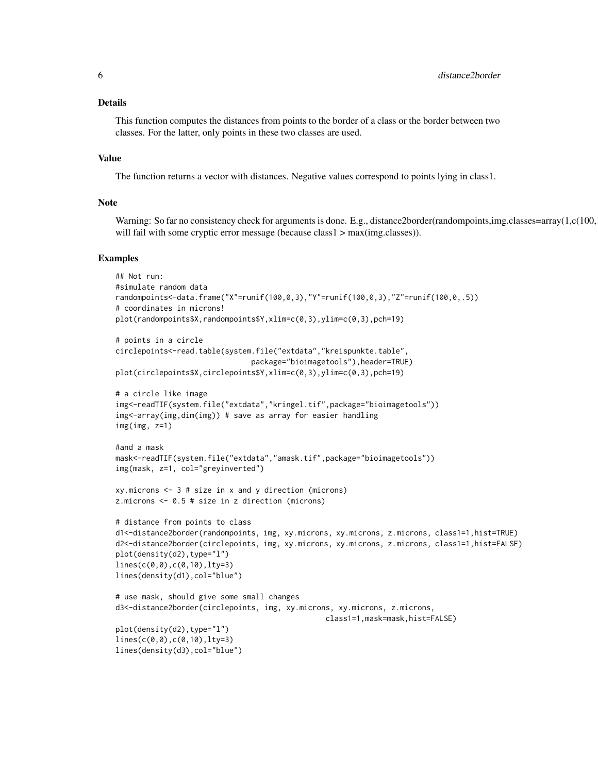#### Details

This function computes the distances from points to the border of a class or the border between two classes. For the latter, only points in these two classes are used.

#### Value

The function returns a vector with distances. Negative values correspond to points lying in class1.

#### Note

Warning: So far no consistency check for arguments is done. E.g., distance2border(randompoints,img.classes=array(1,c(100, will fail with some cryptic error message (because class1 > max(img.classes)).

#### Examples

```
## Not run:
#simulate random data
randompoints<-data.frame("X"=runif(100,0,3),"Y"=runif(100,0,3),"Z"=runif(100,0,.5))
# coordinates in microns!
plot(randompoints$X,randompoints$Y,xlim=c(0,3),ylim=c(0,3),pch=19)
# points in a circle
circlepoints<-read.table(system.file("extdata","kreispunkte.table",
                               package="bioimagetools"),header=TRUE)
plot(circlepoints$X,circlepoints$Y,xlim=c(0,3),ylim=c(0,3),pch=19)
# a circle like image
img<-readTIF(system.file("extdata","kringel.tif",package="bioimagetools"))
img<-array(img,dim(img)) # save as array for easier handling
img(img, z=1)
#and a mask
mask<-readTIF(system.file("extdata","amask.tif",package="bioimagetools"))
img(mask, z=1, col="greyinverted")
xy.microns < -3 # size in x and y direction (microns)z.microns <- 0.5 # size in z direction (microns)
# distance from points to class
d1<-distance2border(randompoints, img, xy.microns, xy.microns, z.microns, class1=1,hist=TRUE)
d2<-distance2border(circlepoints, img, xy.microns, xy.microns, z.microns, class1=1,hist=FALSE)
plot(density(d2),type="l")
lines(c(0,0),c(0,10),lty=3)
lines(density(d1),col="blue")
# use mask, should give some small changes
d3<-distance2border(circlepoints, img, xy.microns, xy.microns, z.microns,
                                                class1=1,mask=mask,hist=FALSE)
plot(density(d2),type="l")
lines(c(0,0),c(0,10),lty=3)
lines(density(d3),col="blue")
```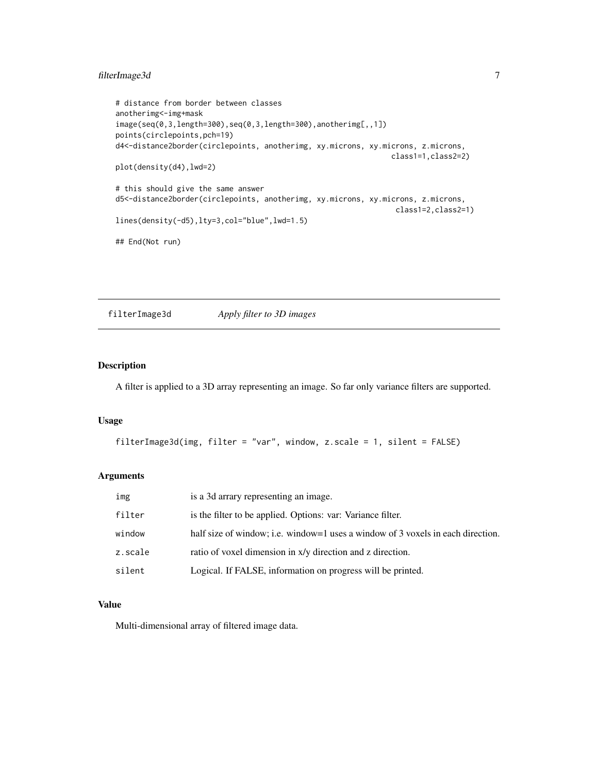#### <span id="page-6-0"></span>filterImage3d 7

```
# distance from border between classes
anotherimg<-img+mask
image(seq(0,3,length=300),seq(0,3,length=300),anotherimg[,,1])
points(circlepoints,pch=19)
d4<-distance2border(circlepoints, anotherimg, xy.microns, xy.microns, z.microns,
                                                               class1=1,class2=2)
plot(density(d4),lwd=2)
# this should give the same answer
d5<-distance2border(circlepoints, anotherimg, xy.microns, xy.microns, z.microns,
                                                                class1=2,class2=1)
lines(density(-d5),lty=3,col="blue",lwd=1.5)
## End(Not run)
```
filterImage3d *Apply filter to 3D images*

#### Description

A filter is applied to a 3D array representing an image. So far only variance filters are supported.

#### Usage

```
filterImage3d(img, filter = "var", window, z.scale = 1, silent = FALSE)
```
#### Arguments

| img     | is a 3d arrary representing an image.                                           |
|---------|---------------------------------------------------------------------------------|
| filter  | is the filter to be applied. Options: var: Variance filter.                     |
| window  | half size of window; i.e. window=1 uses a window of 3 voxels in each direction. |
| z.scale | ratio of voxel dimension in x/y direction and z direction.                      |
| silent  | Logical. If FALSE, information on progress will be printed.                     |

#### Value

Multi-dimensional array of filtered image data.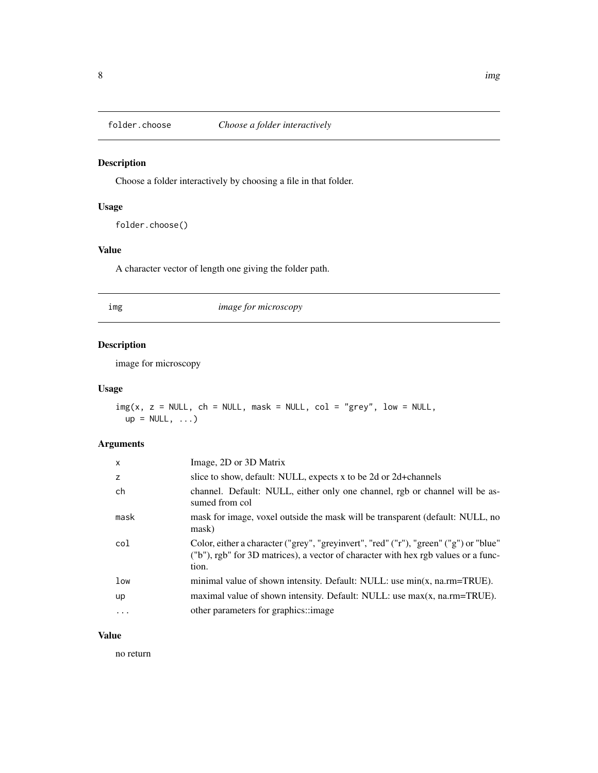<span id="page-7-0"></span>

Choose a folder interactively by choosing a file in that folder.

#### Usage

folder.choose()

#### Value

A character vector of length one giving the folder path.

img *image for microscopy*

# Description

image for microscopy

#### Usage

 $img(x, z = NULL, ch = NULL, mask = NULL, col = "grey", low = NULL,$  $up = NULL, ...)$ 

#### Arguments

| X    | Image, 2D or 3D Matrix                                                                                                                                                               |
|------|--------------------------------------------------------------------------------------------------------------------------------------------------------------------------------------|
| z    | slice to show, default: NULL, expects x to be 2d or 2d+channels                                                                                                                      |
| ch   | channel. Default: NULL, either only one channel, rgb or channel will be as-<br>sumed from col                                                                                        |
| mask | mask for image, voxel outside the mask will be transparent (default: NULL, no<br>mask)                                                                                               |
| col  | Color, either a character ("grey", "greyinvert", "red" ("r"), "green" ("g") or "blue"<br>("b"), rgb" for 3D matrices), a vector of character with hex rgb values or a func-<br>tion. |
| low  | minimal value of shown intensity. Default: NULL: use $min(x, na.rm = TRUE)$ .                                                                                                        |
| up   | maximal value of shown intensity. Default: NULL: use $max(x, na.rm = TRUE)$ .                                                                                                        |
| .    | other parameters for graphics::image.                                                                                                                                                |
|      |                                                                                                                                                                                      |

#### Value

no return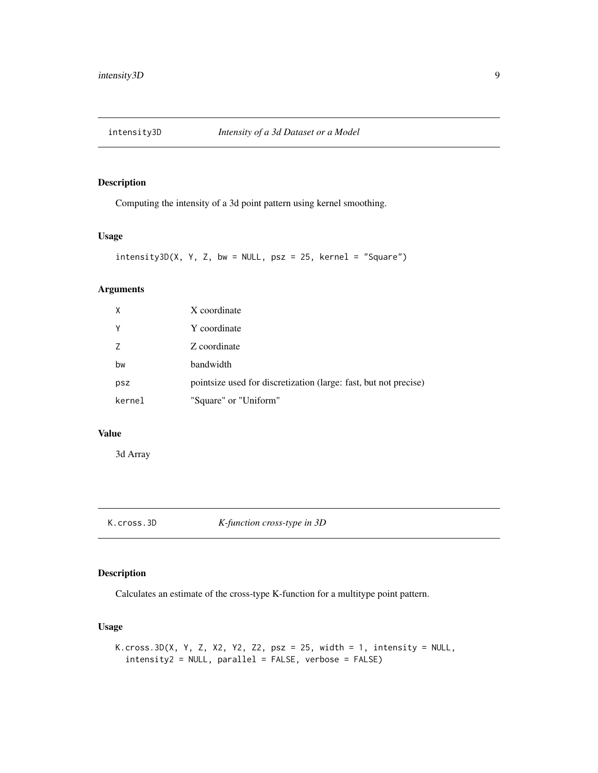<span id="page-8-0"></span>

Computing the intensity of a 3d point pattern using kernel smoothing.

# Usage

```
intensity3D(X, Y, Z, bw = NULL, psz = 25, kernel = "Square")
```
# Arguments

| $\mathsf{X}$ | X coordinate                                                     |
|--------------|------------------------------------------------------------------|
| Υ            | Y coordinate                                                     |
| 7            | Z coordinate                                                     |
| bw           | bandwidth                                                        |
| psz          | pointsize used for discretization (large: fast, but not precise) |
| kernel       | "Square" or "Uniform"                                            |

#### Value

3d Array

#### Description

Calculates an estimate of the cross-type K-function for a multitype point pattern.

#### Usage

```
K.cross.3D(X, Y, Z, X2, Y2, Z2, psz = 25, width = 1, intensity = NULL,
  intensity2 = NULL, parallel = FALSE, verbose = FALSE)
```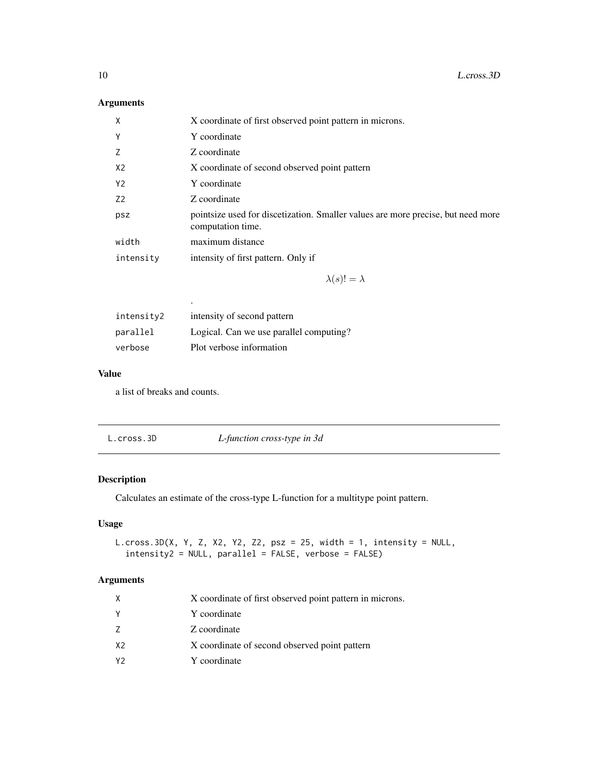# Arguments

| Χ         | X coordinate of first observed point pattern in microns.                                              |
|-----------|-------------------------------------------------------------------------------------------------------|
| Υ         | Y coordinate                                                                                          |
| Ζ         | Z coordinate                                                                                          |
| X2        | X coordinate of second observed point pattern                                                         |
| Y2        | Y coordinate                                                                                          |
| Z2        | Z coordinate                                                                                          |
| psz       | pointsize used for discetization. Smaller values are more precise, but need more<br>computation time. |
| width     | maximum distance                                                                                      |
| intensity | intensity of first pattern. Only if                                                                   |
|           |                                                                                                       |

 $\lambda(s)! = \lambda$ 

| intensity2 | intensity of second pattern             |
|------------|-----------------------------------------|
| parallel   | Logical. Can we use parallel computing? |
| verbose    | Plot verbose information                |

# Value

a list of breaks and counts.

.

|  | L.cross.3D | L-function cross-type in 3d |
|--|------------|-----------------------------|
|--|------------|-----------------------------|

# Description

Calculates an estimate of the cross-type L-function for a multitype point pattern.

# Usage

```
L.cross.3D(X, Y, Z, X2, Y2, Z2, psz = 25, width = 1, intensity = NULL,
  intensity2 = NULL, parallel = FALSE, verbose = FALSE)
```

| X              | X coordinate of first observed point pattern in microns. |
|----------------|----------------------------------------------------------|
| Y              | Y coordinate                                             |
| 7              | Z coordinate                                             |
| X <sub>2</sub> | X coordinate of second observed point pattern            |
| Y2             | Y coordinate                                             |

<span id="page-9-0"></span>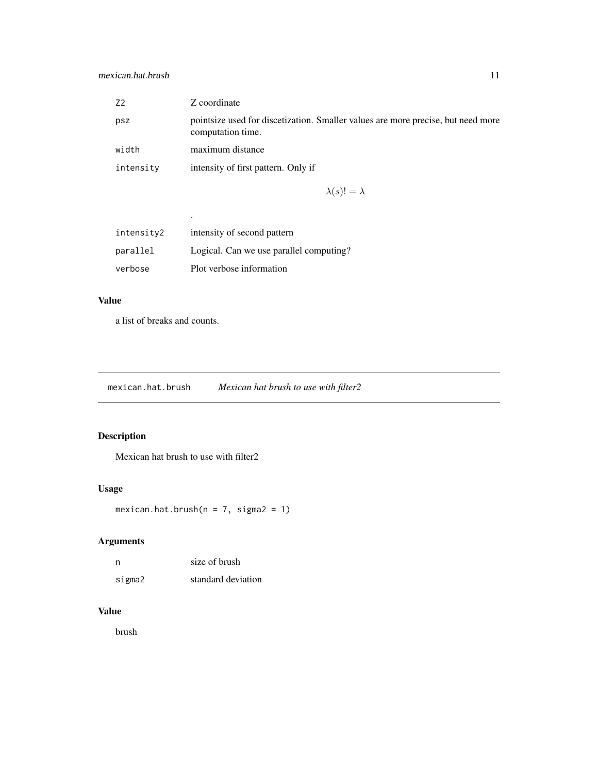<span id="page-10-0"></span>

| Z <sub>2</sub> | Z coordinate                                                                                          |
|----------------|-------------------------------------------------------------------------------------------------------|
| psz            | pointsize used for discetization. Smaller values are more precise, but need more<br>computation time. |
| width          | maximum distance                                                                                      |
| intensity      | intensity of first pattern. Only if                                                                   |
|                |                                                                                                       |

 $\lambda(s)! = \lambda$ 

| intensity2 | intensity of second pattern             |
|------------|-----------------------------------------|
| parallel   | Logical. Can we use parallel computing? |
| verbose    | Plot verbose information                |

# Value

a list of breaks and counts.

.

mexican.hat.brush *Mexican hat brush to use with filter2*

# Description

Mexican hat brush to use with filter2

# Usage

mexican.hat.brush( $n = 7$ , sigma $2 = 1$ )

# Arguments

| n      | size of brush      |
|--------|--------------------|
| sigma2 | standard deviation |

#### Value

brush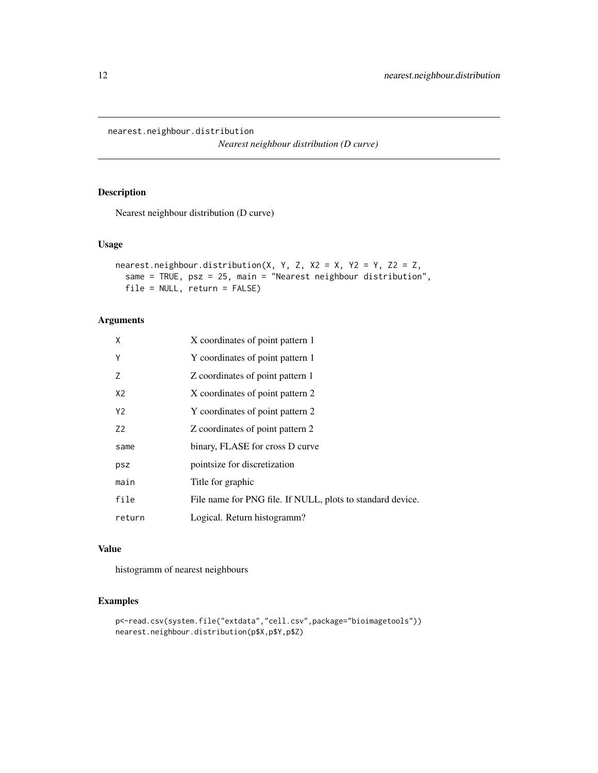<span id="page-11-0"></span>nearest.neighbour.distribution

*Nearest neighbour distribution (D curve)*

#### Description

Nearest neighbour distribution (D curve)

#### Usage

```
nearest.neighbour.distribution(X, Y, Z, X2 = X, Y2 = Y, Z2 = Z,
  same = TRUE, psz = 25, main = "Nearest neighbour distribution",
  file = NULL, return = FALSE)
```
#### Arguments

| X              | X coordinates of point pattern 1                           |
|----------------|------------------------------------------------------------|
| Y              | Y coordinates of point pattern 1                           |
| 7              | Z coordinates of point pattern 1                           |
| X <sub>2</sub> | X coordinates of point pattern 2                           |
| Y <sub>2</sub> | Y coordinates of point pattern 2                           |
| Z <sub>2</sub> | Z coordinates of point pattern 2                           |
| same           | binary, FLASE for cross D curve                            |
| psz            | pointsize for discretization                               |
| main           | Title for graphic                                          |
| file           | File name for PNG file. If NULL, plots to standard device. |
| return         | Logical. Return histogramm?                                |

#### Value

histogramm of nearest neighbours

# Examples

```
p<-read.csv(system.file("extdata","cell.csv",package="bioimagetools"))
nearest.neighbour.distribution(p$X,p$Y,p$Z)
```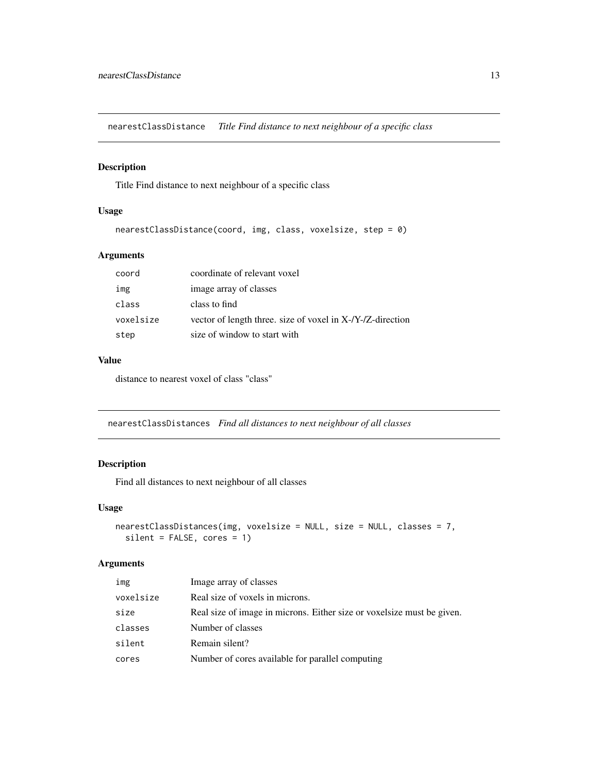<span id="page-12-0"></span>nearestClassDistance *Title Find distance to next neighbour of a specific class*

#### Description

Title Find distance to next neighbour of a specific class

#### Usage

```
nearestClassDistance(coord, img, class, voxelsize, step = 0)
```
#### Arguments

| coord     | coordinate of relevant voxel                               |
|-----------|------------------------------------------------------------|
| img       | image array of classes                                     |
| class     | class to find                                              |
| voxelsize | vector of length three. size of voxel in X-/Y-/Z-direction |
| step      | size of window to start with                               |

#### Value

distance to nearest voxel of class "class"

nearestClassDistances *Find all distances to next neighbour of all classes*

#### Description

Find all distances to next neighbour of all classes

#### Usage

```
nearestClassDistances(img, voxelsize = NULL, size = NULL, classes = 7,
 silent = FALSE, cores = 1)
```

| img       | Image array of classes                                                 |
|-----------|------------------------------------------------------------------------|
| voxelsize | Real size of voxels in microns.                                        |
| size      | Real size of image in microns. Either size or voxelsize must be given. |
| classes   | Number of classes                                                      |
| silent    | Remain silent?                                                         |
| cores     | Number of cores available for parallel computing                       |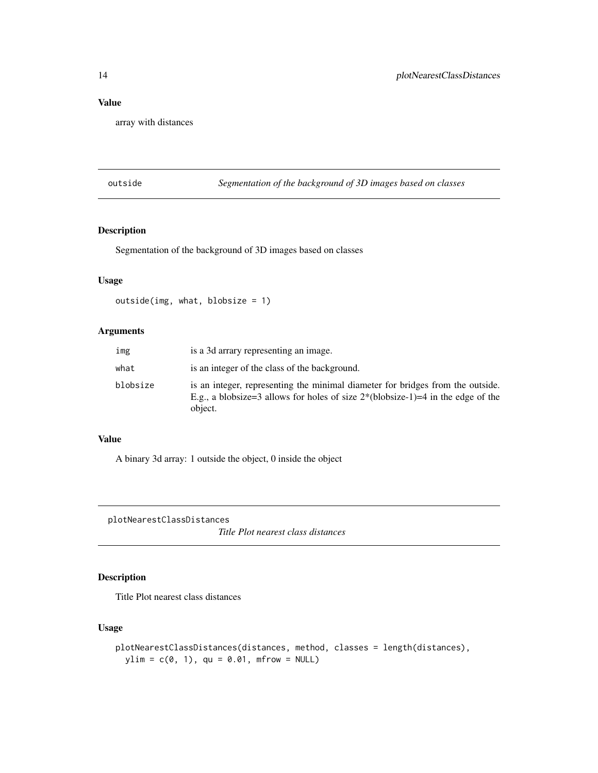# <span id="page-13-0"></span>Value

array with distances

outside *Segmentation of the background of 3D images based on classes*

# Description

Segmentation of the background of 3D images based on classes

#### Usage

```
outside(img, what, blobsize = 1)
```
#### Arguments

| img      | is a 3d arrary representing an image.                                                                                                                                                 |
|----------|---------------------------------------------------------------------------------------------------------------------------------------------------------------------------------------|
| what     | is an integer of the class of the background.                                                                                                                                         |
| blobsize | is an integer, representing the minimal diameter for bridges from the outside.<br>E.g., a blobsize=3 allows for holes of size $2^*(\text{blosize-1})=4$ in the edge of the<br>object. |

#### Value

A binary 3d array: 1 outside the object, 0 inside the object

plotNearestClassDistances

*Title Plot nearest class distances*

#### Description

Title Plot nearest class distances

# Usage

```
plotNearestClassDistances(distances, method, classes = length(distances),
 ylim = c(0, 1), qu = 0.01, m from = NULL)
```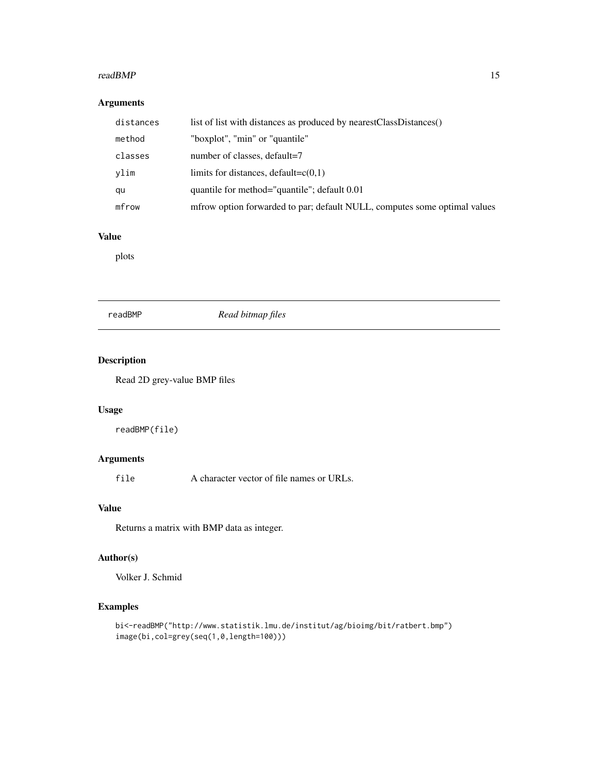#### <span id="page-14-0"></span>readBMP 15

# Arguments

| distances | list of list with distances as produced by nearestClassDistances()        |
|-----------|---------------------------------------------------------------------------|
| method    | "boxplot", "min" or "quantile"                                            |
| classes   | number of classes, default=7                                              |
| vlim      | limits for distances, default= $c(0,1)$                                   |
| qu        | quantile for method="quantile"; default 0.01                              |
| mfrow     | mfrow option forwarded to par; default NULL, computes some optimal values |

# Value

plots

#### readBMP *Read bitmap files*

# Description

Read 2D grey-value BMP files

#### Usage

readBMP(file)

#### Arguments

file A character vector of file names or URLs.

#### Value

Returns a matrix with BMP data as integer.

#### Author(s)

Volker J. Schmid

# Examples

```
bi<-readBMP("http://www.statistik.lmu.de/institut/ag/bioimg/bit/ratbert.bmp")
image(bi,col=grey(seq(1,0,length=100)))
```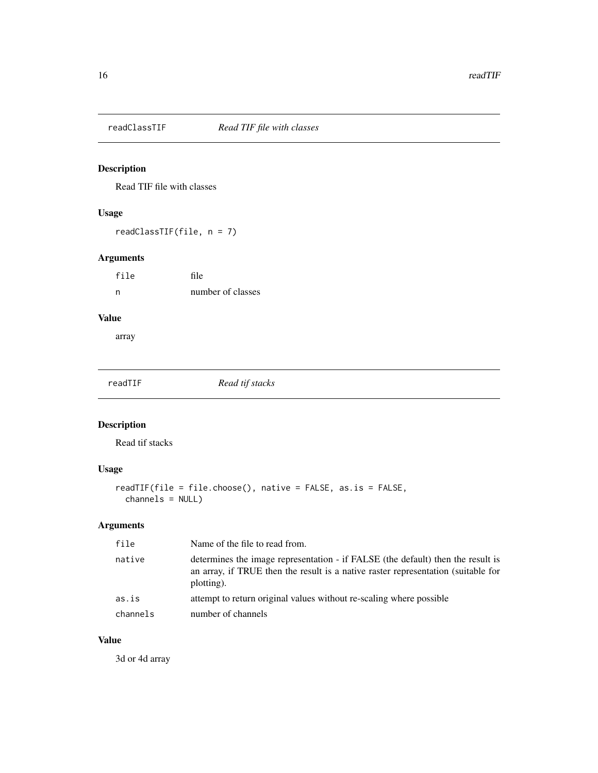<span id="page-15-0"></span>

Read TIF file with classes

#### Usage

readClassTIF(file, n = 7)

# Arguments

| file | file              |
|------|-------------------|
| n    | number of classes |

# Value

array

readTIF *Read tif stacks*

# Description

Read tif stacks

# Usage

```
readTIF(file = file.choose(), native = FALSE, as.is = FALSE,
 channels = NULL)
```
# Arguments

| file     | Name of the file to read from.                                                                                                                                                     |
|----------|------------------------------------------------------------------------------------------------------------------------------------------------------------------------------------|
| native   | determines the image representation - if FALSE (the default) then the result is<br>an array, if TRUE then the result is a native raster representation (suitable for<br>plotting). |
| as.is    | attempt to return original values without re-scaling where possible                                                                                                                |
| channels | number of channels                                                                                                                                                                 |

# Value

3d or 4d array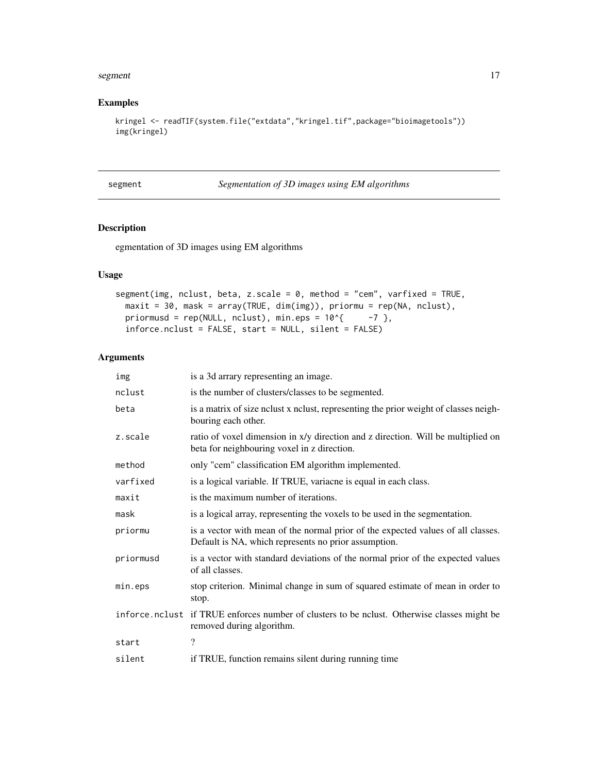#### <span id="page-16-0"></span>segment and the segment of  $\sim$  17

#### Examples

```
kringel <- readTIF(system.file("extdata","kringel.tif",package="bioimagetools"))
img(kringel)
```

| segment |  |  |
|---------|--|--|
|         |  |  |

segment *Segmentation of 3D images using EM algorithms*

#### Description

egmentation of 3D images using EM algorithms

#### Usage

```
segment(img, nclust, beta, z.scale = 0, method = "cem", varfixed = TRUE,
 maxit = 30, mask = array(TRUE, dim(img)), priormu = rep(NA, nclust),
 priormusd = rep(NULL, nclust), min.eps = 10^{4} -7 },
  inforce.nclust = FALSE, start = NULL, silent = FALSE)
```

| img       | is a 3d arrary representing an image.                                                                                                    |
|-----------|------------------------------------------------------------------------------------------------------------------------------------------|
| nclust    | is the number of clusters/classes to be segmented.                                                                                       |
| beta      | is a matrix of size no lust x no lust, representing the prior weight of classes neigh-<br>bouring each other.                            |
| z.scale   | ratio of voxel dimension in x/y direction and z direction. Will be multiplied on<br>beta for neighbouring voxel in z direction.          |
| method    | only "cem" classification EM algorithm implemented.                                                                                      |
| varfixed  | is a logical variable. If TRUE, variacne is equal in each class.                                                                         |
| maxit     | is the maximum number of iterations.                                                                                                     |
| mask      | is a logical array, representing the voxels to be used in the segmentation.                                                              |
| priormu   | is a vector with mean of the normal prior of the expected values of all classes.<br>Default is NA, which represents no prior assumption. |
| priormusd | is a vector with standard deviations of the normal prior of the expected values<br>of all classes.                                       |
| min.eps   | stop criterion. Minimal change in sum of squared estimate of mean in order to<br>stop.                                                   |
|           | inforce.nclust if TRUE enforces number of clusters to be nclust. Otherwise classes might be<br>removed during algorithm.                 |
| start     | $\overline{\mathcal{C}}$                                                                                                                 |
| silent    | if TRUE, function remains silent during running time                                                                                     |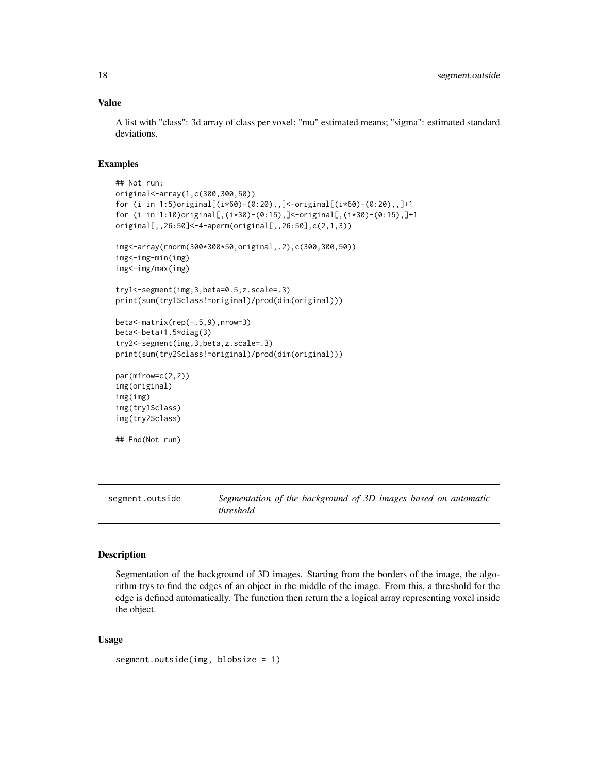#### Value

A list with "class": 3d array of class per voxel; "mu" estimated means; "sigma": estimated standard deviations.

#### Examples

```
## Not run:
original<-array(1,c(300,300,50))
for (i in 1:5)original[(i*60)-(0:20),,]<-original[(i*60)-(0:20),,]+1
for (i in 1:10)original[,(i*30)-(0:15),]<-original[,(i*30)-(0:15),]+1
original[,,26:50]<-4-aperm(original[,,26:50],c(2,1,3))
img<-array(rnorm(300*300*50,original,.2),c(300,300,50))
img<-img-min(img)
img<-img/max(img)
try1<-segment(img,3,beta=0.5,z.scale=.3)
print(sum(try1$class!=original)/prod(dim(original)))
beta<-matrix(rep(-.5,9),nrow=3)
beta<-beta+1.5*diag(3)
try2<-segment(img,3,beta,z.scale=.3)
print(sum(try2$class!=original)/prod(dim(original)))
par(mfrow=c(2,2))
img(original)
img(img)
img(try1$class)
img(try2$class)
## End(Not run)
```
segment.outside *Segmentation of the background of 3D images based on automatic threshold*

#### Description

Segmentation of the background of 3D images. Starting from the borders of the image, the algorithm trys to find the edges of an object in the middle of the image. From this, a threshold for the edge is defined automatically. The function then return the a logical array representing voxel inside the object.

#### Usage

```
segment.outside(img, blobsize = 1)
```
<span id="page-17-0"></span>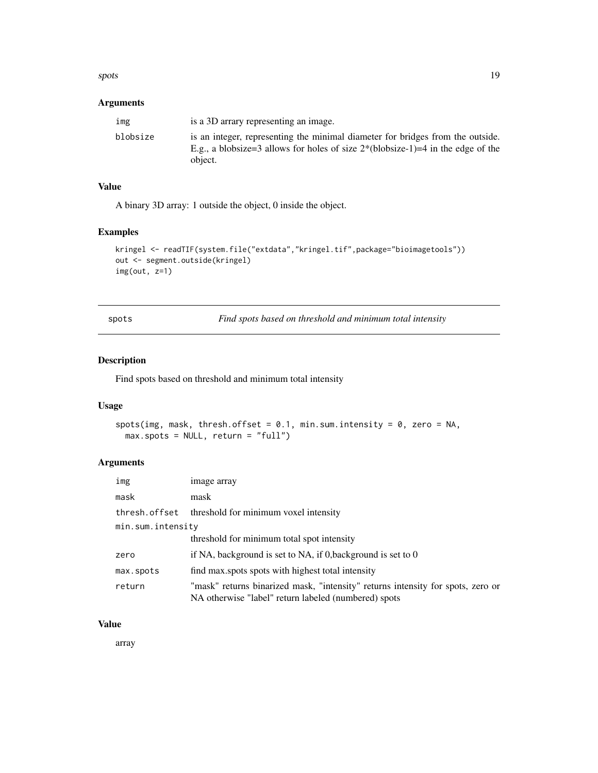#### <span id="page-18-0"></span>spots and the spots of the spots of the spots of the spots of the spots of the spots of the spots of the spots of the spots of the spots of the spots of the spots of the spots of the spots of the spots of the spots of the

### Arguments

| img      | is a 3D arrary representing an image.                                                                                                                                                |
|----------|--------------------------------------------------------------------------------------------------------------------------------------------------------------------------------------|
| blobsize | is an integer, representing the minimal diameter for bridges from the outside.<br>E.g., a blobsize=3 allows for holes of size $2^*($ blobsize-1 $)=$ 4 in the edge of the<br>object. |

# Value

A binary 3D array: 1 outside the object, 0 inside the object.

#### Examples

```
kringel <- readTIF(system.file("extdata","kringel.tif",package="bioimagetools"))
out <- segment.outside(kringel)
img(out, z=1)
```
spots *Find spots based on threshold and minimum total intensity*

#### Description

Find spots based on threshold and minimum total intensity

#### Usage

```
spots(img, mask, thresh.offset = 0.1, min.sum.intensity = 0, zero = NA,
 max.spots = NULL, return = "full")
```
# Arguments

| img               | image array                                                                                                                             |
|-------------------|-----------------------------------------------------------------------------------------------------------------------------------------|
| mask              | mask                                                                                                                                    |
|                   | thresh. of fset threshold for minimum voxel intensity                                                                                   |
| min.sum.intensity |                                                                                                                                         |
|                   | threshold for minimum total spot intensity                                                                                              |
| zero              | if NA, background is set to NA, if 0, background is set to $0$                                                                          |
| max.spots         | find max spots spots with highest total intensity                                                                                       |
| return            | "mask" returns binarized mask, "intensity" returns intensity for spots, zero or<br>NA otherwise "label" return labeled (numbered) spots |

### Value

array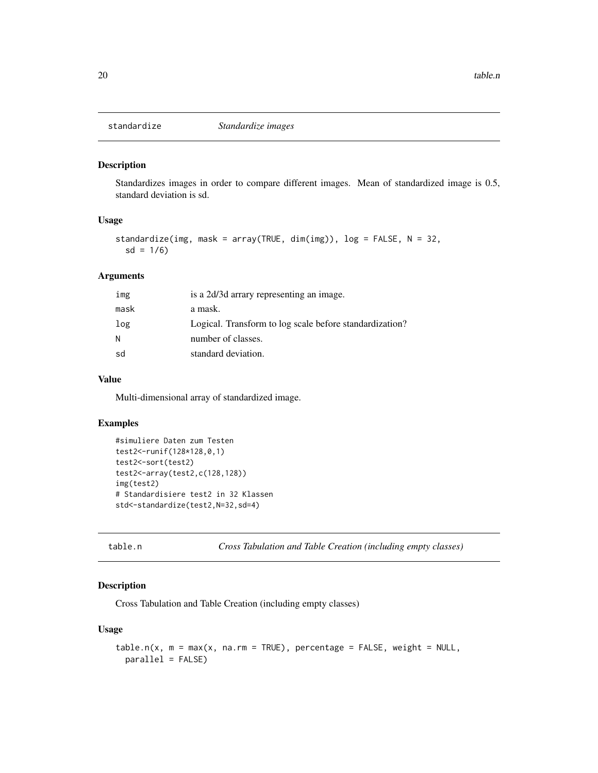<span id="page-19-0"></span>

Standardizes images in order to compare different images. Mean of standardized image is 0.5, standard deviation is sd.

#### Usage

```
standardize(img, mask = array(TRUE, dim(img)), log = FALSE, N = 32,
 sd = 1/6)
```
#### Arguments

| img  | is a 2d/3d arrary representing an image.                |
|------|---------------------------------------------------------|
| mask | a mask.                                                 |
| log  | Logical. Transform to log scale before standardization? |
| N    | number of classes.                                      |
| sd   | standard deviation.                                     |

#### Value

Multi-dimensional array of standardized image.

#### Examples

```
#simuliere Daten zum Testen
test2<-runif(128*128,0,1)
test2<-sort(test2)
test2<-array(test2,c(128,128))
img(test2)
# Standardisiere test2 in 32 Klassen
std<-standardize(test2,N=32,sd=4)
```

```
table.n Cross Tabulation and Table Creation (including empty classes)
```
#### Description

Cross Tabulation and Table Creation (including empty classes)

#### Usage

```
table.n(x, m = max(x, na.rm = TRUE), percentage = FALSE, weight = NULL,parallel = FALSE)
```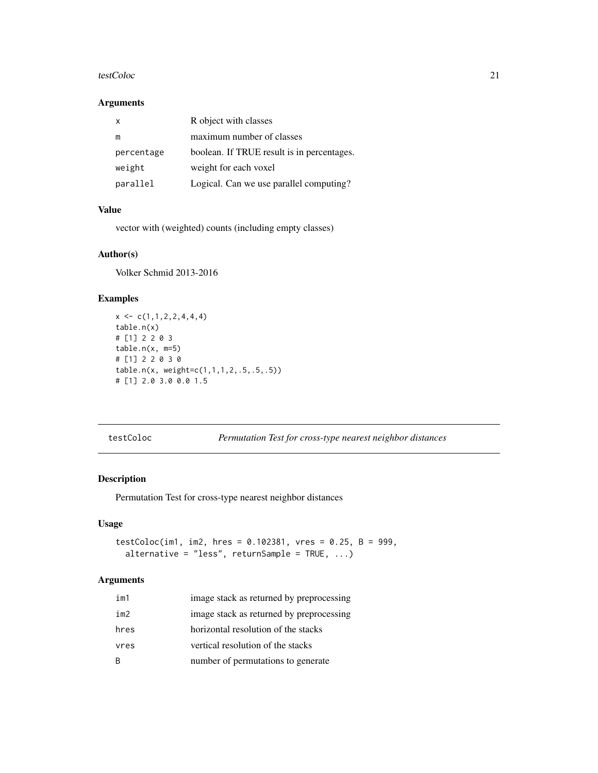#### <span id="page-20-0"></span>testColoc 21

#### Arguments

| x          | R object with classes                      |
|------------|--------------------------------------------|
| m          | maximum number of classes                  |
| percentage | boolean. If TRUE result is in percentages. |
| weight     | weight for each voxel                      |
| parallel   | Logical. Can we use parallel computing?    |

# Value

vector with (weighted) counts (including empty classes)

# Author(s)

Volker Schmid 2013-2016

### Examples

```
x \leftarrow c(1,1,2,2,4,4,4)table.n(x)
# [1] 2 2 0 3
table.n(x, m=5)
# [1] 2 2 0 3 0
table.n(x, weight=c(1,1,1,2,.5,.5,.5))
# [1] 2.0 3.0 0.0 1.5
```
testColoc *Permutation Test for cross-type nearest neighbor distances*

#### Description

Permutation Test for cross-type nearest neighbor distances

#### Usage

```
testColoc(im1, im2, hres = 0.102381, vres = 0.25, B = 999,
  alternative = "less", returnSample = TRUE, ...)
```

| im1  | image stack as returned by preprocessing |
|------|------------------------------------------|
| im2  | image stack as returned by preprocessing |
| hres | horizontal resolution of the stacks      |
| vres | vertical resolution of the stacks        |
| B.   | number of permutations to generate       |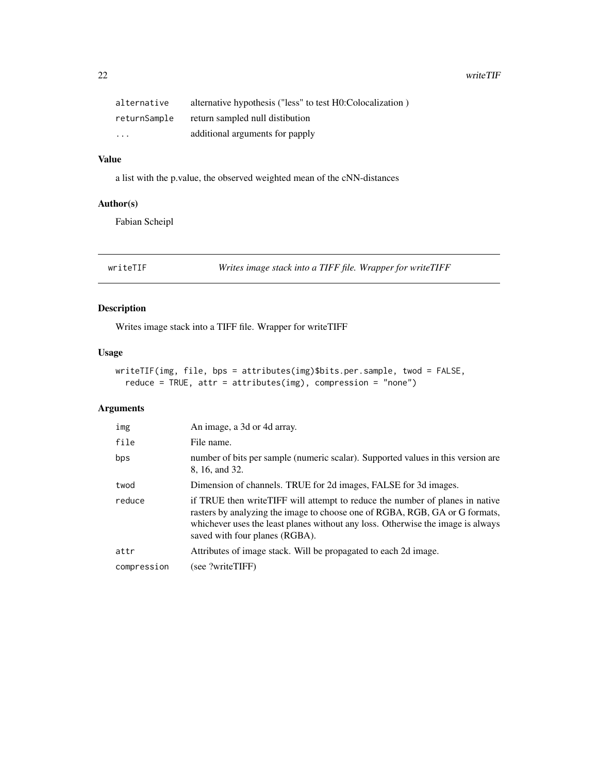<span id="page-21-0"></span>22 writeTIF

| alternative  | alternative hypothesis ("less" to test H0:Colocalization) |
|--------------|-----------------------------------------------------------|
| returnSample | return sampled null distibution                           |
| $\cdot$      | additional arguments for papply                           |

# Value

a list with the p.value, the observed weighted mean of the cNN-distances

#### Author(s)

Fabian Scheipl

writeTIF *Writes image stack into a TIFF file. Wrapper for writeTIFF*

#### Description

Writes image stack into a TIFF file. Wrapper for writeTIFF

#### Usage

```
writeTIF(img, file, bps = attributes(img)$bits.per.sample, twod = FALSE,
  reduce = TRUE, attr = attributes(img), compression = "none")
```

| img         | An image, a 3d or 4d array.                                                                                                                                                                                                                                                       |
|-------------|-----------------------------------------------------------------------------------------------------------------------------------------------------------------------------------------------------------------------------------------------------------------------------------|
| file        | File name.                                                                                                                                                                                                                                                                        |
| bps         | number of bits per sample (numeric scalar). Supported values in this version are<br>8, 16, and 32.                                                                                                                                                                                |
| twod        | Dimension of channels. TRUE for 2d images, FALSE for 3d images.                                                                                                                                                                                                                   |
| reduce      | if TRUE then write TIFF will attempt to reduce the number of planes in native<br>rasters by analyzing the image to choose one of RGBA, RGB, GA or G formats,<br>whichever uses the least planes without any loss. Otherwise the image is always<br>saved with four planes (RGBA). |
| attr        | Attributes of image stack. Will be propagated to each 2d image.                                                                                                                                                                                                                   |
| compression | (see ?writeTIFF)                                                                                                                                                                                                                                                                  |